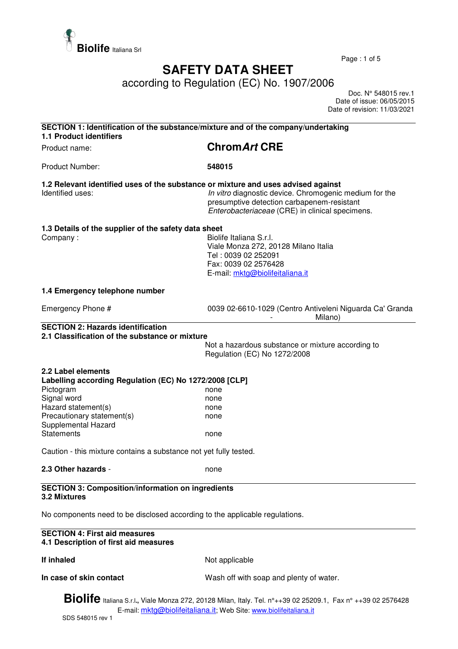

Page : 1 of 5

## **SAFETY DATA SHEET**

according to Regulation (EC) No. 1907/2006

 Doc. N° 548015 rev.1 Date of issue: 06/05/2015 Date of revision: 11/03/2021

| <b>1.1 Product identifiers</b>                                                                                                                                                                                                                                                                        | SECTION 1: Identification of the substance/mixture and of the company/undertaking                                                                                                        |
|-------------------------------------------------------------------------------------------------------------------------------------------------------------------------------------------------------------------------------------------------------------------------------------------------------|------------------------------------------------------------------------------------------------------------------------------------------------------------------------------------------|
| Product name:                                                                                                                                                                                                                                                                                         | <b>ChromArt CRE</b>                                                                                                                                                                      |
| Product Number:                                                                                                                                                                                                                                                                                       | 548015                                                                                                                                                                                   |
| 1.2 Relevant identified uses of the substance or mixture and uses advised against<br>Identified uses:                                                                                                                                                                                                 | In vitro diagnostic device. Chromogenic medium for the<br>presumptive detection carbapenem-resistant<br>Enterobacteriaceae (CRE) in clinical specimens.                                  |
| 1.3 Details of the supplier of the safety data sheet<br>Company:                                                                                                                                                                                                                                      | Biolife Italiana S.r.I.<br>Viale Monza 272, 20128 Milano Italia<br>Tel: 0039 02 252091<br>Fax: 0039 02 2576428<br>E-mail: mktg@biolifeitaliana.it                                        |
| 1.4 Emergency telephone number                                                                                                                                                                                                                                                                        |                                                                                                                                                                                          |
| Emergency Phone #                                                                                                                                                                                                                                                                                     | 0039 02-6610-1029 (Centro Antiveleni Niguarda Ca' Granda<br>Milano)                                                                                                                      |
| <b>SECTION 2: Hazards identification</b>                                                                                                                                                                                                                                                              |                                                                                                                                                                                          |
| 2.1 Classification of the substance or mixture                                                                                                                                                                                                                                                        | Not a hazardous substance or mixture according to<br>Regulation (EC) No 1272/2008                                                                                                        |
| 2.2 Label elements<br>Labelling according Regulation (EC) No 1272/2008 [CLP]<br>Pictogram<br>Signal word<br>Hazard statement(s)<br>Precautionary statement(s)<br>Supplemental Hazard<br><b>Statements</b><br>Caution - this mixture contains a substance not yet fully tested.<br>2.3 Other hazards - | none<br>none<br>none<br>none<br>none<br>none                                                                                                                                             |
| <b>SECTION 3: Composition/information on ingredients</b>                                                                                                                                                                                                                                              |                                                                                                                                                                                          |
| 3.2 Mixtures                                                                                                                                                                                                                                                                                          |                                                                                                                                                                                          |
| No components need to be disclosed according to the applicable regulations.                                                                                                                                                                                                                           |                                                                                                                                                                                          |
| <b>SECTION 4: First aid measures</b><br>4.1 Description of first aid measures                                                                                                                                                                                                                         |                                                                                                                                                                                          |
| If inhaled                                                                                                                                                                                                                                                                                            | Not applicable                                                                                                                                                                           |
| In case of skin contact                                                                                                                                                                                                                                                                               | Wash off with soap and plenty of water.                                                                                                                                                  |
|                                                                                                                                                                                                                                                                                                       | <b>Biolife</b> Italiana S.r.l., Viale Monza 272, 20128 Milan, Italy. Tel. n°++39 02 25209.1, Fax n° ++39 02 2576428<br>E-mail: mktg@biolifeitaliana.it; Web Site: www.biolifeitaliana.it |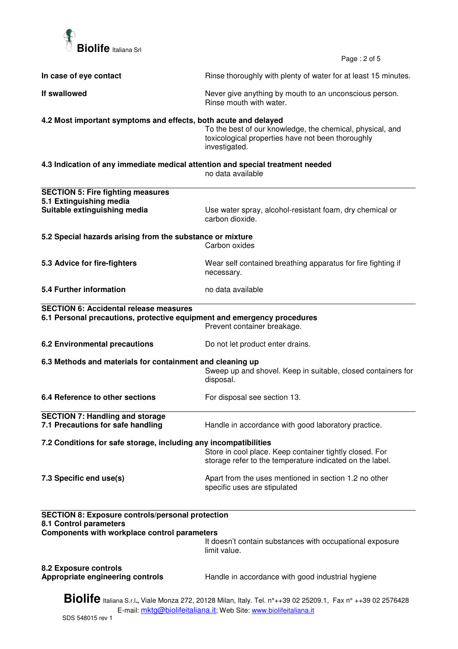

Page : 2 of 5

| In case of eye contact                                                                                                                                                                   | Rinse thoroughly with plenty of water for at least 15 minutes.                                                                  |  |  |
|------------------------------------------------------------------------------------------------------------------------------------------------------------------------------------------|---------------------------------------------------------------------------------------------------------------------------------|--|--|
| If swallowed                                                                                                                                                                             | Never give anything by mouth to an unconscious person.<br>Rinse mouth with water.                                               |  |  |
| 4.2 Most important symptoms and effects, both acute and delayed                                                                                                                          |                                                                                                                                 |  |  |
|                                                                                                                                                                                          | To the best of our knowledge, the chemical, physical, and<br>toxicological properties have not been thoroughly<br>investigated. |  |  |
| 4.3 Indication of any immediate medical attention and special treatment needed<br>no data available                                                                                      |                                                                                                                                 |  |  |
|                                                                                                                                                                                          |                                                                                                                                 |  |  |
| <b>SECTION 5: Fire fighting measures</b><br>5.1 Extinguishing media                                                                                                                      |                                                                                                                                 |  |  |
| Suitable extinguishing media                                                                                                                                                             | Use water spray, alcohol-resistant foam, dry chemical or<br>carbon dioxide.                                                     |  |  |
| 5.2 Special hazards arising from the substance or mixture                                                                                                                                |                                                                                                                                 |  |  |
|                                                                                                                                                                                          | Carbon oxides                                                                                                                   |  |  |
| 5.3 Advice for fire-fighters                                                                                                                                                             | Wear self contained breathing apparatus for fire fighting if<br>necessary.                                                      |  |  |
| 5.4 Further information                                                                                                                                                                  | no data available                                                                                                               |  |  |
| <b>SECTION 6: Accidental release measures</b>                                                                                                                                            |                                                                                                                                 |  |  |
| 6.1 Personal precautions, protective equipment and emergency procedures                                                                                                                  | Prevent container breakage.                                                                                                     |  |  |
| <b>6.2 Environmental precautions</b>                                                                                                                                                     | Do not let product enter drains.                                                                                                |  |  |
| 6.3 Methods and materials for containment and cleaning up                                                                                                                                |                                                                                                                                 |  |  |
|                                                                                                                                                                                          | Sweep up and shovel. Keep in suitable, closed containers for<br>disposal.                                                       |  |  |
| 6.4 Reference to other sections                                                                                                                                                          | For disposal see section 13.                                                                                                    |  |  |
| <b>SECTION 7: Handling and storage</b>                                                                                                                                                   |                                                                                                                                 |  |  |
| 7.1 Precautions for safe handling                                                                                                                                                        | Handle in accordance with good laboratory practice.                                                                             |  |  |
| 7.2 Conditions for safe storage, including any incompatibilities                                                                                                                         |                                                                                                                                 |  |  |
|                                                                                                                                                                                          | Store in cool place. Keep container tightly closed. For<br>storage refer to the temperature indicated on the label.             |  |  |
| 7.3 Specific end use(s)                                                                                                                                                                  | Apart from the uses mentioned in section 1.2 no other<br>specific uses are stipulated                                           |  |  |
| <b>SECTION 8: Exposure controls/personal protection</b><br>8.1 Control parameters                                                                                                        |                                                                                                                                 |  |  |
| Components with workplace control parameters                                                                                                                                             |                                                                                                                                 |  |  |
|                                                                                                                                                                                          | It doesn't contain substances with occupational exposure<br>limit value.                                                        |  |  |
| 8.2 Exposure controls<br>Appropriate engineering controls                                                                                                                                | Handle in accordance with good industrial hygiene                                                                               |  |  |
| <b>Biolife</b> Italiana S.r.l., Viale Monza 272, 20128 Milan, Italy. Tel. n°++39 02 25209.1, Fax n° ++39 02 2576428<br>E-mail: mktg@biolifeitaliana.it; Web Site: www.biolifeitaliana.it |                                                                                                                                 |  |  |
|                                                                                                                                                                                          |                                                                                                                                 |  |  |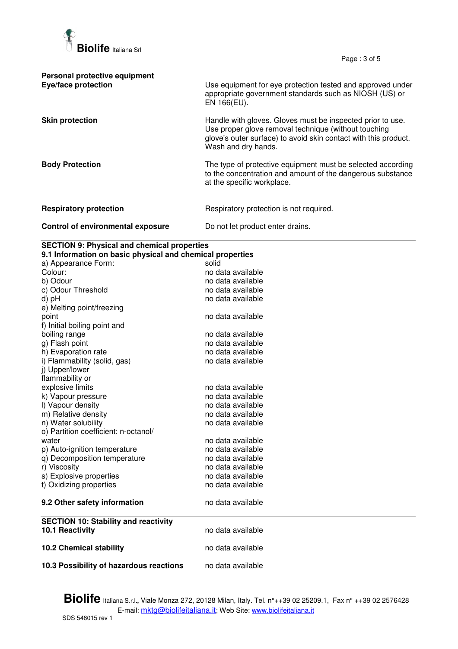

Page : 3 of 5

| Personal protective equipment<br>Eye/face protection | Use equipment for eye protection tested and approved under<br>appropriate government standards such as NIOSH (US) or<br>EN 166(EU).                                                                          |
|------------------------------------------------------|--------------------------------------------------------------------------------------------------------------------------------------------------------------------------------------------------------------|
| <b>Skin protection</b>                               | Handle with gloves. Gloves must be inspected prior to use.<br>Use proper glove removal technique (without touching<br>glove's outer surface) to avoid skin contact with this product.<br>Wash and dry hands. |
| <b>Body Protection</b>                               | The type of protective equipment must be selected according<br>to the concentration and amount of the dangerous substance<br>at the specific workplace.                                                      |
| <b>Respiratory protection</b>                        | Respiratory protection is not required.                                                                                                                                                                      |
| Control of environmental exposure                    | Do not let product enter drains.                                                                                                                                                                             |

## **SECTION 9: Physical and chemical properties**

| 9.1 Information on basic physical and chemical properties |                   |  |  |
|-----------------------------------------------------------|-------------------|--|--|
| a) Appearance Form:                                       | solid             |  |  |
| Colour:                                                   | no data available |  |  |
| b) Odour                                                  | no data available |  |  |
| c) Odour Threshold                                        | no data available |  |  |
| d) pH                                                     | no data available |  |  |
| e) Melting point/freezing                                 |                   |  |  |
| point                                                     | no data available |  |  |
| f) Initial boiling point and                              |                   |  |  |
| boiling range                                             | no data available |  |  |
| g) Flash point                                            | no data available |  |  |
| h) Evaporation rate                                       | no data available |  |  |
| i) Flammability (solid, gas)                              | no data available |  |  |
| j) Upper/lower                                            |                   |  |  |
| flammability or                                           |                   |  |  |
| explosive limits                                          | no data available |  |  |
| k) Vapour pressure                                        | no data available |  |  |
| I) Vapour density                                         | no data available |  |  |
| m) Relative density                                       | no data available |  |  |
| n) Water solubility                                       | no data available |  |  |
| o) Partition coefficient: n-octanol/                      |                   |  |  |
| water                                                     | no data available |  |  |
| p) Auto-ignition temperature                              | no data available |  |  |
| q) Decomposition temperature                              | no data available |  |  |
| r) Viscosity                                              | no data available |  |  |
| s) Explosive properties                                   | no data available |  |  |
| t) Oxidizing properties                                   | no data available |  |  |
| 9.2 Other safety information                              | no data available |  |  |
| <b>SECTION 10: Stability and reactivity</b>               |                   |  |  |
| 10.1 Reactivity                                           | no data available |  |  |
| <b>10.2 Chemical stability</b>                            | no data available |  |  |
|                                                           |                   |  |  |
| 10.3 Possibility of hazardous reactions                   | no data available |  |  |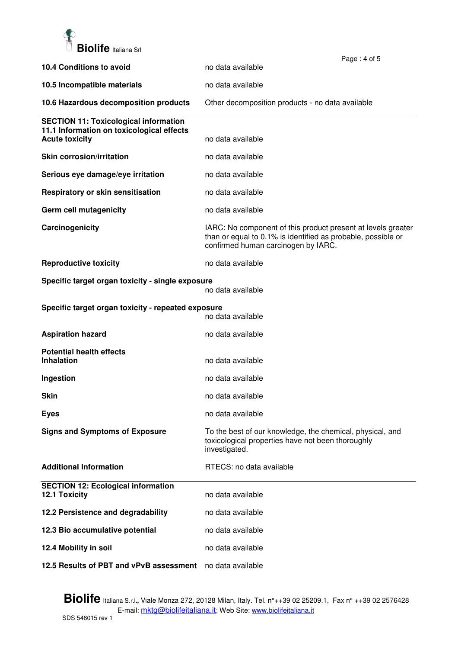

|                                                                    |                                                                                                                                                                     | Page: 4 of 5 |
|--------------------------------------------------------------------|---------------------------------------------------------------------------------------------------------------------------------------------------------------------|--------------|
| 10.4 Conditions to avoid                                           | no data available                                                                                                                                                   |              |
| 10.5 Incompatible materials                                        | no data available                                                                                                                                                   |              |
| 10.6 Hazardous decomposition products                              | Other decomposition products - no data available                                                                                                                    |              |
| <b>SECTION 11: Toxicological information</b>                       |                                                                                                                                                                     |              |
| 11.1 Information on toxicological effects<br><b>Acute toxicity</b> | no data available                                                                                                                                                   |              |
| <b>Skin corrosion/irritation</b>                                   | no data available                                                                                                                                                   |              |
| Serious eye damage/eye irritation                                  | no data available                                                                                                                                                   |              |
| Respiratory or skin sensitisation                                  | no data available                                                                                                                                                   |              |
| Germ cell mutagenicity                                             | no data available                                                                                                                                                   |              |
| Carcinogenicity                                                    | IARC: No component of this product present at levels greater<br>than or equal to 0.1% is identified as probable, possible or<br>confirmed human carcinogen by IARC. |              |
| <b>Reproductive toxicity</b>                                       | no data available                                                                                                                                                   |              |
| Specific target organ toxicity - single exposure                   | no data available                                                                                                                                                   |              |
| Specific target organ toxicity - repeated exposure                 | no data available                                                                                                                                                   |              |
| <b>Aspiration hazard</b>                                           | no data available                                                                                                                                                   |              |
| <b>Potential health effects</b><br><b>Inhalation</b>               | no data available                                                                                                                                                   |              |
|                                                                    |                                                                                                                                                                     |              |
| Ingestion                                                          | no data available                                                                                                                                                   |              |
| <b>Skin</b>                                                        | no data available                                                                                                                                                   |              |
| <b>Eyes</b>                                                        | no data available                                                                                                                                                   |              |
| <b>Signs and Symptoms of Exposure</b>                              | To the best of our knowledge, the chemical, physical, and<br>toxicological properties have not been thoroughly<br>investigated.                                     |              |
| <b>Additional Information</b>                                      | RTECS: no data available                                                                                                                                            |              |
| <b>SECTION 12: Ecological information</b><br>12.1 Toxicity         | no data available                                                                                                                                                   |              |
| 12.2 Persistence and degradability                                 | no data available                                                                                                                                                   |              |
| 12.3 Bio accumulative potential                                    | no data available                                                                                                                                                   |              |
| 12.4 Mobility in soil                                              | no data available                                                                                                                                                   |              |
| 12.5 Results of PBT and vPvB assessment                            | no data available                                                                                                                                                   |              |